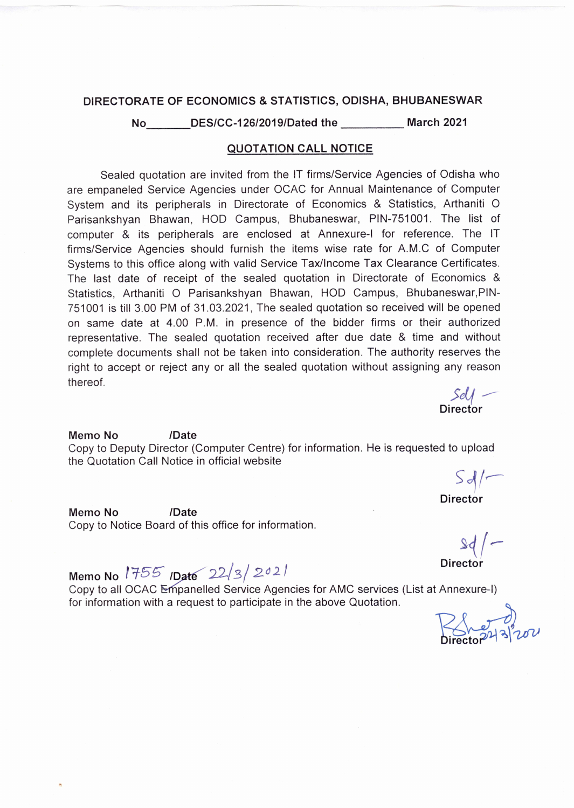## DIRECTORATE OF ECONOMICS & STATISTICS, ODISHA, BHUBANESWAR

No DES/CC-126/2019/Dated the March 2021

## **QUOTATION CALL NOTICE**

Sealed quotation are invited from the IT firms/Service Agencies of Odisha who are empaneled Service Agencies under OCAC for Annual Maintenance of Computer System and its peripherals in Directorate of Economics & Statistics, Arthaniti O Parisankshyan Bhawan, HOD Campus, Bhubaneswar, PIN-751001. The list of computer & its peripherals are enclosed at Annexure-I for reference. The IT firms/Service Agencies should furnish the items wise rate for A.M.C of Computer Systems to this office along with valid Service Tax/Income Tax Clearance Certificates. The last date of receipt of the sealed quotation in Directorate of Economics & Statistics, Arthaniti O Parisankshyan Bhawan, HOD Campus, Bhubaneswar, PIN-751001 is till 3.00 PM of 31.03.2021, The sealed quotation so received will be opened on same date at 4.00 P.M. in presence of the bidder firms or their authorized representative. The sealed quotation received after due date & time and without complete documents shall not be taken into consideration. The authority reserves the right to accept or reject any or all the sealed quotation without assigning any reason thereof.

/Date Memo No Copy to Deputy Director (Computer Centre) for information. He is requested to upload the Quotation Call Notice in official website

 $Sol$ 

 $\frac{\mathcal{S}e}{\mathcal{S}e}$ Director

**Director** 

Memo No /Date Copy to Notice Board of this office for information.

 $39/$ 

**Director** 

Memo No 1755 Date  $22/3/2021$ 

Copy to all OCAC Empanelled Service Agencies for AMC services (List at Annexure-I) for information with a request to participate in the above Quotation.

herd<br>heriot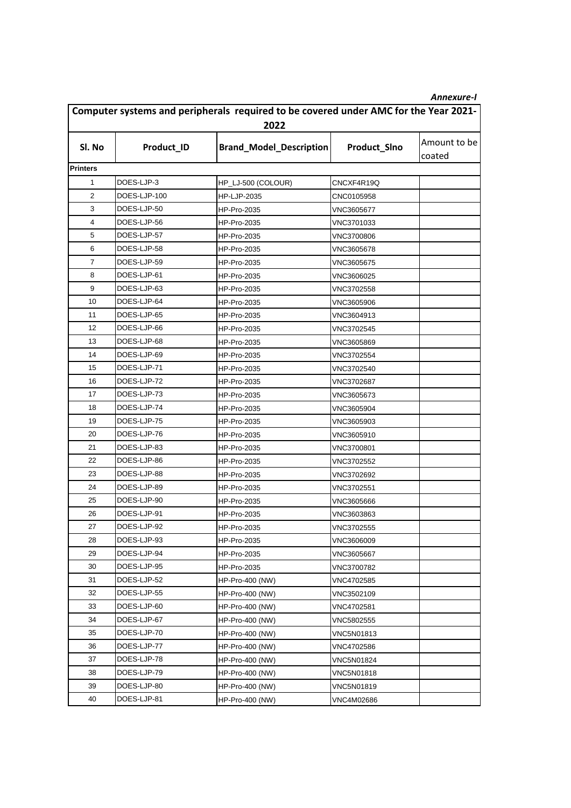|                                                                                      |              |                                |              | Annexure-I             |
|--------------------------------------------------------------------------------------|--------------|--------------------------------|--------------|------------------------|
| Computer systems and peripherals required to be covered under AMC for the Year 2021- |              |                                |              |                        |
|                                                                                      |              | 2022                           |              |                        |
| SI. No                                                                               | Product_ID   | <b>Brand_Model_Description</b> | Product_SIno | Amount to be<br>coated |
| <b>Printers</b>                                                                      |              |                                |              |                        |
| 1                                                                                    | DOES-LJP-3   | HP_LJ-500 (COLOUR)             | CNCXF4R19Q   |                        |
| 2                                                                                    | DOES-LJP-100 | <b>HP-LJP-2035</b>             | CNC0105958   |                        |
| 3                                                                                    | DOES-LJP-50  | <b>HP-Pro-2035</b>             | VNC3605677   |                        |
| 4                                                                                    | DOES-LJP-56  | <b>HP-Pro-2035</b>             | VNC3701033   |                        |
| 5                                                                                    | DOES-LJP-57  | <b>HP-Pro-2035</b>             | VNC3700806   |                        |
| 6                                                                                    | DOES-LJP-58  | <b>HP-Pro-2035</b>             | VNC3605678   |                        |
| 7                                                                                    | DOES-LJP-59  | <b>HP-Pro-2035</b>             | VNC3605675   |                        |
| 8                                                                                    | DOES-LJP-61  | <b>HP-Pro-2035</b>             | VNC3606025   |                        |
| 9                                                                                    | DOES-LJP-63  | <b>HP-Pro-2035</b>             | VNC3702558   |                        |
| 10                                                                                   | DOES-LJP-64  | <b>HP-Pro-2035</b>             | VNC3605906   |                        |
| 11                                                                                   | DOES-LJP-65  | <b>HP-Pro-2035</b>             | VNC3604913   |                        |
| 12                                                                                   | DOES-LJP-66  | <b>HP-Pro-2035</b>             | VNC3702545   |                        |
| 13                                                                                   | DOES-LJP-68  | <b>HP-Pro-2035</b>             | VNC3605869   |                        |
| 14                                                                                   | DOES-LJP-69  | <b>HP-Pro-2035</b>             | VNC3702554   |                        |
| 15                                                                                   | DOES-LJP-71  | <b>HP-Pro-2035</b>             | VNC3702540   |                        |
| 16                                                                                   | DOES-LJP-72  | <b>HP-Pro-2035</b>             | VNC3702687   |                        |
| 17                                                                                   | DOES-LJP-73  | <b>HP-Pro-2035</b>             | VNC3605673   |                        |
| 18                                                                                   | DOES-LJP-74  | <b>HP-Pro-2035</b>             | VNC3605904   |                        |
| 19                                                                                   | DOES-LJP-75  | <b>HP-Pro-2035</b>             | VNC3605903   |                        |
| 20                                                                                   | DOES-LJP-76  | <b>HP-Pro-2035</b>             | VNC3605910   |                        |
| 21                                                                                   | DOES-LJP-83  | <b>HP-Pro-2035</b>             | VNC3700801   |                        |
| 22                                                                                   | DOES-LJP-86  | <b>HP-Pro-2035</b>             | VNC3702552   |                        |
| 23                                                                                   | DOES-LJP-88  | HP-Pro-2035                    | VNC3702692   |                        |
| 24                                                                                   | DOES-LJP-89  | <b>HP-Pro-2035</b>             | VNC3702551   |                        |
| 25                                                                                   | DOES-LJP-90  | <b>HP-Pro-2035</b>             | VNC3605666   |                        |
| 26                                                                                   | DOES-LJP-91  | <b>HP-Pro-2035</b>             | VNC3603863   |                        |
| 27                                                                                   | DOES-LJP-92  | <b>HP-Pro-2035</b>             | VNC3702555   |                        |
| 28                                                                                   | DOES-LJP-93  | HP-Pro-2035                    | VNC3606009   |                        |
| 29                                                                                   | DOES-LJP-94  | HP-Pro-2035                    | VNC3605667   |                        |
| 30                                                                                   | DOES-LJP-95  | HP-Pro-2035                    | VNC3700782   |                        |
| 31                                                                                   | DOES-LJP-52  | HP-Pro-400 (NW)                | VNC4702585   |                        |
| 32                                                                                   | DOES-LJP-55  | HP-Pro-400 (NW)                | VNC3502109   |                        |
| 33                                                                                   | DOES-LJP-60  | HP-Pro-400 (NW)                | VNC4702581   |                        |
| 34                                                                                   | DOES-LJP-67  | HP-Pro-400 (NW)                | VNC5802555   |                        |
| 35                                                                                   | DOES-LJP-70  | HP-Pro-400 (NW)                | VNC5N01813   |                        |
| 36                                                                                   | DOES-LJP-77  | HP-Pro-400 (NW)                | VNC4702586   |                        |
| 37                                                                                   | DOES-LJP-78  | HP-Pro-400 (NW)                | VNC5N01824   |                        |
| 38                                                                                   | DOES-LJP-79  | HP-Pro-400 (NW)                | VNC5N01818   |                        |
| 39                                                                                   | DOES-LJP-80  | HP-Pro-400 (NW)                | VNC5N01819   |                        |
| 40                                                                                   | DOES-LJP-81  | HP-Pro-400 (NW)                | VNC4M02686   |                        |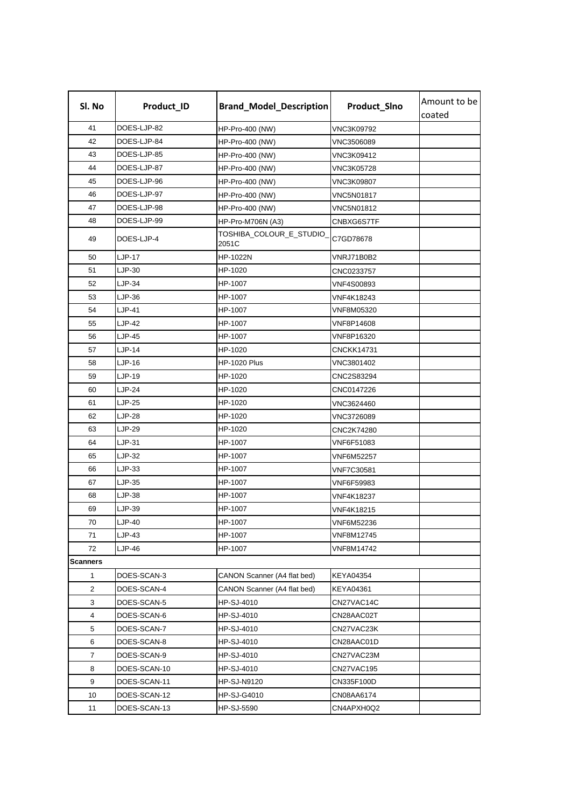| Sl. No          | Product_ID    | <b>Brand_Model_Description</b>    | Product_SIno      | Amount to be<br>coated |
|-----------------|---------------|-----------------------------------|-------------------|------------------------|
| 41              | DOES-LJP-82   | HP-Pro-400 (NW)                   | VNC3K09792        |                        |
| 42              | DOES-LJP-84   | HP-Pro-400 (NW)                   | <b>VNC3506089</b> |                        |
| 43              | DOES-LJP-85   | HP-Pro-400 (NW)                   | VNC3K09412        |                        |
| 44              | DOES-LJP-87   | HP-Pro-400 (NW)                   | <b>VNC3K05728</b> |                        |
| 45              | DOES-LJP-96   | HP-Pro-400 (NW)                   | <b>VNC3K09807</b> |                        |
| 46              | DOES-LJP-97   | HP-Pro-400 (NW)                   | <b>VNC5N01817</b> |                        |
| 47              | DOES-LJP-98   | HP-Pro-400 (NW)                   | VNC5N01812        |                        |
| 48              | DOES-LJP-99   | <b>HP-Pro-M706N (A3)</b>          | CNBXG6S7TF        |                        |
| 49              | DOES-LJP-4    | TOSHIBA_COLOUR_E_STUDIO_<br>2051C | C7GD78678         |                        |
| 50              | LJP-17        | HP-1022N                          | VNRJ71B0B2        |                        |
| 51              | $LJP-30$      | HP-1020                           | CNC0233757        |                        |
| 52              | LJP-34        | HP-1007                           | <b>VNF4S00893</b> |                        |
| 53              | LJP-36        | HP-1007                           | VNF4K18243        |                        |
| 54              | LJP-41        | HP-1007                           | VNF8M05320        |                        |
| 55              | LJP-42        | HP-1007                           | VNF8P14608        |                        |
| 56              | <b>LJP-45</b> | HP-1007                           | VNF8P16320        |                        |
| 57              | LJP-14        | HP-1020                           | CNCKK14731        |                        |
| 58              | LJP-16        | HP-1020 Plus                      | VNC3801402        |                        |
| 59              | LJP-19        | HP-1020                           | CNC2S83294        |                        |
| 60              | LJP-24        | HP-1020                           | CNC0147226        |                        |
| 61              | $LJP-25$      | HP-1020                           | VNC3624460        |                        |
| 62              | <b>LJP-28</b> | HP-1020                           | VNC3726089        |                        |
| 63              | LJP-29        | HP-1020                           | CNC2K74280        |                        |
| 64              | LJP-31        | HP-1007                           | VNF6F51083        |                        |
| 65              | LJP-32        | HP-1007                           | VNF6M52257        |                        |
| 66              | LJP-33        | HP-1007                           | VNF7C30581        |                        |
| 67              | LJP-35        | HP-1007                           | VNF6F59983        |                        |
| 68              | <b>LJP-38</b> | HP-1007                           | VNF4K18237        |                        |
| 69              | LJP-39        | HP-1007                           | VNF4K18215        |                        |
| 70              | <b>LJP-40</b> | HP-1007                           | VNF6M52236        |                        |
| 71              | LJP-43        | HP-1007                           | VNF8M12745        |                        |
| 72              | LJP-46        | HP-1007                           | VNF8M14742        |                        |
| <b>Scanners</b> |               |                                   |                   |                        |
| 1               | DOES-SCAN-3   | CANON Scanner (A4 flat bed)       | KEYA04354         |                        |
| 2               | DOES-SCAN-4   | CANON Scanner (A4 flat bed)       | KEYA04361         |                        |
| 3               | DOES-SCAN-5   | HP-SJ-4010                        | CN27VAC14C        |                        |
| 4               | DOES-SCAN-6   | HP-SJ-4010                        | CN28AAC02T        |                        |
| 5               | DOES-SCAN-7   | HP-SJ-4010                        | CN27VAC23K        |                        |
| 6               | DOES-SCAN-8   | HP-SJ-4010                        | CN28AAC01D        |                        |
| $\overline{7}$  | DOES-SCAN-9   | HP-SJ-4010                        | CN27VAC23M        |                        |
| 8               | DOES-SCAN-10  | HP-SJ-4010                        | CN27VAC195        |                        |
| 9               | DOES-SCAN-11  | HP-SJ-N9120                       | CN335F100D        |                        |
| 10              | DOES-SCAN-12  | HP-SJ-G4010                       | CN08AA6174        |                        |
| 11              | DOES-SCAN-13  | <b>HP-SJ-5590</b>                 | CN4APXH0Q2        |                        |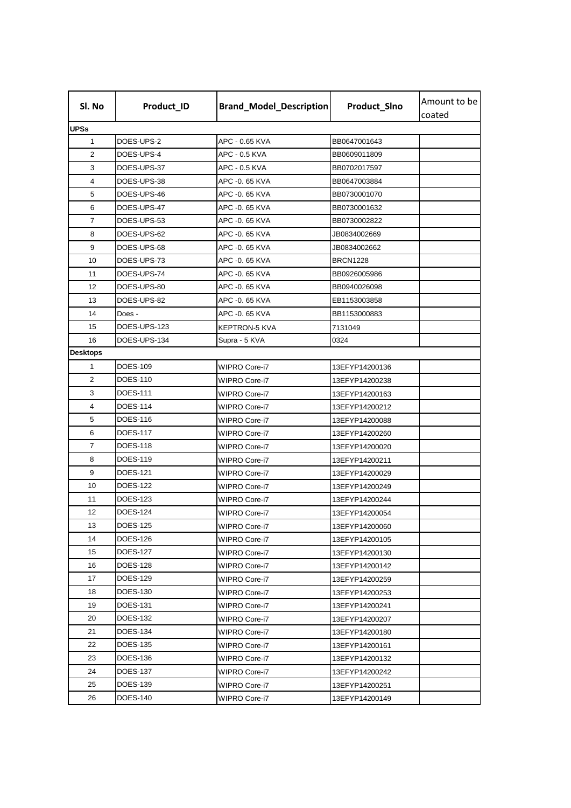| Sl. No          | Product_ID      | <b>Brand_Model_Description</b> | Product_SIno    | Amount to be<br>coated |
|-----------------|-----------------|--------------------------------|-----------------|------------------------|
| <b>UPSs</b>     |                 |                                |                 |                        |
| $\mathbf{1}$    | DOES-UPS-2      | APC - 0.65 KVA                 | BB0647001643    |                        |
| 2               | DOES-UPS-4      | APC - 0.5 KVA                  | BB0609011809    |                        |
| 3               | DOES-UPS-37     | APC - 0.5 KVA                  | BB0702017597    |                        |
| 4               | DOES-UPS-38     | APC -0. 65 KVA                 | BB0647003884    |                        |
| 5               | DOES-UPS-46     | APC -0. 65 KVA                 | BB0730001070    |                        |
| 6               | DOES-UPS-47     | APC -0. 65 KVA                 | BB0730001632    |                        |
| 7               | DOES-UPS-53     | APC -0. 65 KVA                 | BB0730002822    |                        |
| 8               | DOES-UPS-62     | APC -0. 65 KVA                 | JB0834002669    |                        |
| 9               | DOES-UPS-68     | APC -0. 65 KVA                 | JB0834002662    |                        |
| 10              | DOES-UPS-73     | APC -0. 65 KVA                 | <b>BRCN1228</b> |                        |
| 11              | DOES-UPS-74     | APC -0. 65 KVA                 | BB0926005986    |                        |
| 12              | DOES-UPS-80     | APC -0. 65 KVA                 | BB0940026098    |                        |
| 13              | DOES-UPS-82     | APC -0. 65 KVA                 | EB1153003858    |                        |
| 14              | Does -          | APC -0. 65 KVA                 | BB1153000883    |                        |
| 15              | DOES-UPS-123    | KEPTRON-5 KVA                  | 7131049         |                        |
| 16              | DOES-UPS-134    | Supra - 5 KVA                  | 0324            |                        |
| <b>Desktops</b> |                 |                                |                 |                        |
| 1               | <b>DOES-109</b> | WIPRO Core-i7                  | 13EFYP14200136  |                        |
| 2               | DOES-110        | WIPRO Core-i7                  | 13EFYP14200238  |                        |
| 3               | DOES-111        | WIPRO Core-i7                  | 13EFYP14200163  |                        |
| 4               | DOES-114        | WIPRO Core-i7                  | 13EFYP14200212  |                        |
| 5               | DOES-116        | WIPRO Core-i7                  | 13EFYP14200088  |                        |
| 6               | DOES-117        | <b>WIPRO Core-i7</b>           | 13EFYP14200260  |                        |
| 7               | DOES-118        | WIPRO Core-i7                  | 13EFYP14200020  |                        |
| 8               | DOES-119        | WIPRO Core-i7                  | 13EFYP14200211  |                        |
| 9               | <b>DOES-121</b> | <b>WIPRO Core-i7</b>           | 13EFYP14200029  |                        |
| 10              | <b>DOES-122</b> | WIPRO Core-i7                  | 13EFYP14200249  |                        |
| 11              | DOES-123        | WIPRO Core-i7                  | 13EFYP14200244  |                        |
| 12              | <b>DOES-124</b> | WIPRO Core-i7                  | 13EFYP14200054  |                        |
| 13              | <b>DOES-125</b> | WIPRO Core-i7                  | 13EFYP14200060  |                        |
| 14              | <b>DOES-126</b> | WIPRO Core-i7                  | 13EFYP14200105  |                        |
| 15              | DOES-127        | WIPRO Core-i7                  | 13EFYP14200130  |                        |
| 16              | DOES-128        | <b>WIPRO Core-i7</b>           | 13EFYP14200142  |                        |
| 17              | DOES-129        | WIPRO Core-i7                  | 13EFYP14200259  |                        |
| 18              | DOES-130        | WIPRO Core-i7                  | 13EFYP14200253  |                        |
| 19              | DOES-131        | WIPRO Core-i7                  | 13EFYP14200241  |                        |
| 20              | <b>DOES-132</b> | WIPRO Core-i7                  | 13EFYP14200207  |                        |
| 21              | DOES-134        | WIPRO Core-i7                  | 13EFYP14200180  |                        |
| 22              | <b>DOES-135</b> | WIPRO Core-i7                  | 13EFYP14200161  |                        |
| 23              | <b>DOES-136</b> | WIPRO Core-i7                  | 13EFYP14200132  |                        |
| 24              | <b>DOES-137</b> | WIPRO Core-i7                  | 13EFYP14200242  |                        |
| 25              | <b>DOES-139</b> | WIPRO Core-i7                  | 13EFYP14200251  |                        |
| 26              | DOES-140        | WIPRO Core-i7                  | 13EFYP14200149  |                        |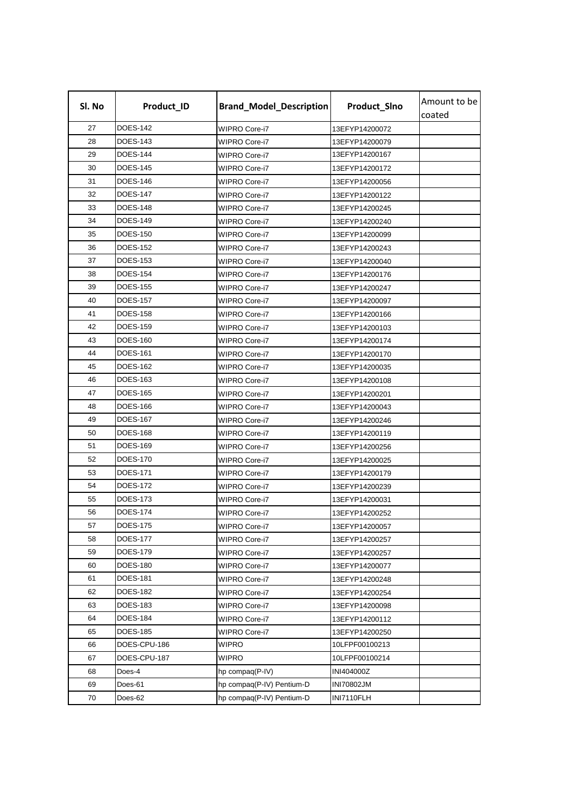| Sl. No | Product_ID      | <b>Brand_Model_Description</b> | Product_SIno   | Amount to be<br>coated |
|--------|-----------------|--------------------------------|----------------|------------------------|
| 27     | <b>DOES-142</b> | <b>WIPRO Core-i7</b>           | 13EFYP14200072 |                        |
| 28     | DOES-143        | WIPRO Core-i7                  | 13EFYP14200079 |                        |
| 29     | <b>DOES-144</b> | WIPRO Core-i7                  | 13EFYP14200167 |                        |
| 30     | <b>DOES-145</b> | WIPRO Core-i7                  | 13EFYP14200172 |                        |
| 31     | <b>DOES-146</b> | WIPRO Core-i7                  | 13EFYP14200056 |                        |
| 32     | DOES-147        | WIPRO Core-i7                  | 13EFYP14200122 |                        |
| 33     | <b>DOES-148</b> | WIPRO Core-i7                  | 13EFYP14200245 |                        |
| 34     | <b>DOES-149</b> | WIPRO Core-i7                  | 13EFYP14200240 |                        |
| 35     | <b>DOES-150</b> | WIPRO Core-i7                  | 13EFYP14200099 |                        |
| 36     | DOES-152        | <b>WIPRO Core-i7</b>           | 13EFYP14200243 |                        |
| 37     | <b>DOES-153</b> | <b>WIPRO Core-i7</b>           | 13EFYP14200040 |                        |
| 38     | DOES-154        | WIPRO Core-i7                  | 13EFYP14200176 |                        |
| 39     | <b>DOES-155</b> | WIPRO Core-i7                  | 13EFYP14200247 |                        |
| 40     | <b>DOES-157</b> | <b>WIPRO Core-i7</b>           | 13EFYP14200097 |                        |
| 41     | <b>DOES-158</b> | WIPRO Core-i7                  | 13EFYP14200166 |                        |
| 42     | DOES-159        | WIPRO Core-i7                  | 13EFYP14200103 |                        |
| 43     | <b>DOES-160</b> | WIPRO Core-i7                  | 13EFYP14200174 |                        |
| 44     | <b>DOES-161</b> | WIPRO Core-i7                  | 13EFYP14200170 |                        |
| 45     | DOES-162        | WIPRO Core-i7                  | 13EFYP14200035 |                        |
| 46     | DOES-163        | WIPRO Core-i7                  | 13EFYP14200108 |                        |
| 47     | <b>DOES-165</b> | <b>WIPRO Core-i7</b>           | 13EFYP14200201 |                        |
| 48     | DOES-166        | WIPRO Core-i7                  | 13EFYP14200043 |                        |
| 49     | DOES-167        | WIPRO Core-i7                  | 13EFYP14200246 |                        |
| 50     | <b>DOES-168</b> | WIPRO Core-i7                  | 13EFYP14200119 |                        |
| 51     | <b>DOES-169</b> | WIPRO Core-i7                  | 13EFYP14200256 |                        |
| 52     | DOES-170        | WIPRO Core-i7                  | 13EFYP14200025 |                        |
| 53     | DOES-171        | WIPRO Core-i7                  | 13EFYP14200179 |                        |
| 54     | <b>DOES-172</b> | WIPRO Core-i7                  | 13EFYP14200239 |                        |
| 55     | DOES-173        | WIPRO Core-i7                  | 13EFYP14200031 |                        |
| 56     | <b>DOES-174</b> | <b>WIPRO Core-i7</b>           | 13EFYP14200252 |                        |
| 57     | <b>DOES-175</b> | WIPRO Core-i7                  | 13EFYP14200057 |                        |
| 58     | DOES-177        | WIPRO Core-i7                  | 13EFYP14200257 |                        |
| 59     | <b>DOES-179</b> | WIPRO Core-i7                  | 13EFYP14200257 |                        |
| 60     | <b>DOES-180</b> | WIPRO Core-i7                  | 13EFYP14200077 |                        |
| 61     | DOES-181        | WIPRO Core-i7                  | 13EFYP14200248 |                        |
| 62     | DOES-182        | WIPRO Core-i7                  | 13EFYP14200254 |                        |
| 63     | DOES-183        | WIPRO Core-i7                  | 13EFYP14200098 |                        |
| 64     | <b>DOES-184</b> | WIPRO Core-i7                  | 13EFYP14200112 |                        |
| 65     | DOES-185        | WIPRO Core-i7                  | 13EFYP14200250 |                        |
| 66     | DOES-CPU-186    | WIPRO                          | 10LFPF00100213 |                        |
| 67     | DOES-CPU-187    | WIPRO                          | 10LFPF00100214 |                        |
| 68     | Does-4          | hp compaq(P-IV)                | INI404000Z     |                        |
| 69     | Does-61         | hp compaq(P-IV) Pentium-D      | INI70802JM     |                        |
| 70     | Does-62         | hp compaq(P-IV) Pentium-D      | INI7110FLH     |                        |